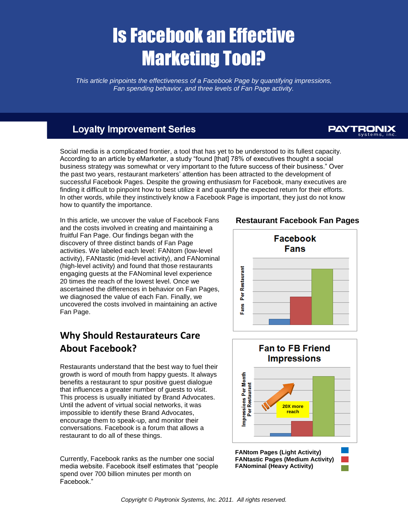# Is Facebook an Effective Marketing Tool?

*This article pinpoints the effectiveness of a Facebook Page by quantifying impressions, Fan spending behavior, and three levels of Fan Page activity.*

#### **Loyalty Improvement Series**

## **PAYTRONIX**

Social media is a complicated frontier, a tool that has yet to be understood to its fullest capacity. According to an article by eMarketer, a study "found [that] 78% of executives thought a social business strategy was somewhat or very important to the future success of their business." Over the past two years, restaurant marketers' attention has been attracted to the development of successful Facebook Pages. Despite the growing enthusiasm for Facebook, many executives are finding it difficult to pinpoint how to best utilize it and quantify the expected return for their efforts. In other words, while they instinctively know a Facebook Page is important, they just do not know how to quantify the importance.

In this article, we uncover the value of Facebook Fans and the costs involved in creating and maintaining a fruitful Fan Page. Our findings began with the discovery of three distinct bands of Fan Page activities. We labeled each level: FANtom (low-level activity), FANtastic (mid-level activity), and FANominal (high-level activity) and found that those restaurants engaging guests at the FANominal level experience 20 times the reach of the lowest level. Once we ascertained the differences in behavior on Fan Pages, we diagnosed the value of each Fan. Finally, we uncovered the costs involved in maintaining an active Fan Page.

## **Why Should Restaurateurs Care About Facebook?**

Restaurants understand that the best way to fuel their growth is word of mouth from happy guests. It always benefits a restaurant to spur positive guest dialogue that influences a greater number of guests to visit. This process is usually initiated by Brand Advocates. Until the advent of virtual social networks, it was impossible to identify these Brand Advocates, encourage them to speak-up, and monitor their conversations. Facebook is a forum that allows a restaurant to do all of these things.

Currently, Facebook ranks as the number one social media website. Facebook itself estimates that "people spend over 700 billion minutes per month on Facebook."

**Restaurant Facebook Fan Pages**





**FANtastic Pages (Medium Activity) FANominal (Heavy Activity)**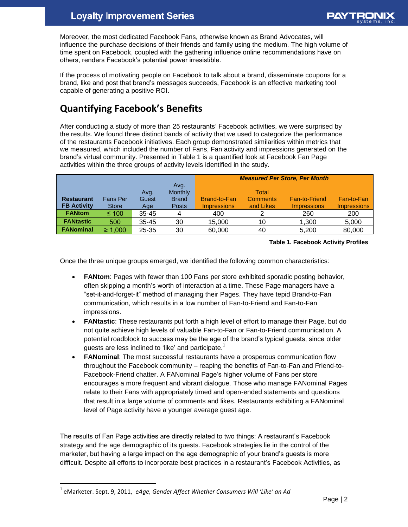Moreover, the most dedicated Facebook Fans, otherwise known as Brand Advocates, will influence the purchase decisions of their friends and family using the medium. The high volume of time spent on Facebook, coupled with the gathering influence online recommendations have on others, renders Facebook's potential power irresistible.

If the process of motivating people on Facebook to talk about a brand, disseminate coupons for a brand, like and post that brand's messages succeeds, Facebook is an effective marketing tool capable of generating a positive ROI.

## **Quantifying Facebook's Benefits**

After conducting a study of more than 25 restaurants' Facebook activities, we were surprised by the results. We found three distinct bands of activity that we used to categorize the performance of the restaurants Facebook initiatives. Each group demonstrated similarities within metrics that we measured, which included the number of Fans, Fan activity and impressions generated on the brand's virtual community. Presented in Table 1 is a quantified look at Facebook Fan Page activities within the three groups of activity levels identified in the study.

|                    |                 |           |                 | <b>Measured Per Store, Per Month</b> |                 |                      |                    |
|--------------------|-----------------|-----------|-----------------|--------------------------------------|-----------------|----------------------|--------------------|
|                    |                 |           | Avg.<br>Monthly |                                      | Total           |                      |                    |
|                    | <b>Fans Per</b> | Avg.      |                 |                                      | <b>Comments</b> |                      |                    |
| <b>Restaurant</b>  |                 | Guest     | <b>Brand</b>    | Brand-to-Fan                         |                 | <b>Fan-to-Friend</b> | Fan-to-Fan         |
| <b>FB Activity</b> | <b>Store</b>    | Age       | <b>Posts</b>    | <b>Impressions</b>                   | and Likes       | <b>Impressions</b>   | <b>Impressions</b> |
| <b>FANtom</b>      | $\leq 100$      | $35 - 45$ |                 | 400                                  |                 | 260                  | 200                |
| <b>FANtastic</b>   | 500             | $35 - 45$ | 30              | 15,000                               | 10              | 1,300                | 5,000              |
| <b>FANominal</b>   | $\geq 1,000$    | $25 - 35$ | 30              | 60,000                               | 40              | 5.200                | 80,000             |

#### **Table 1. Facebook Activity Profiles**

Once the three unique groups emerged, we identified the following common characteristics:

- **FANtom**: Pages with fewer than 100 Fans per store exhibited sporadic posting behavior, often skipping a month's worth of interaction at a time. These Page managers have a "set-it-and-forget-it" method of managing their Pages. They have tepid Brand-to-Fan communication, which results in a low number of Fan-to-Friend and Fan-to-Fan impressions.
- **FANtastic**: These restaurants put forth a high level of effort to manage their Page, but do not quite achieve high levels of valuable Fan-to-Fan or Fan-to-Friend communication. A potential roadblock to success may be the age of the brand's typical guests, since older guests are less inclined to 'like' and participate.<sup>1</sup>
- **FANominal**: The most successful restaurants have a prosperous communication flow throughout the Facebook community – reaping the benefits of Fan-to-Fan and Friend-to-Facebook-Friend chatter. A FANominal Page's higher volume of Fans per store encourages a more frequent and vibrant dialogue. Those who manage FANominal Pages relate to their Fans with appropriately timed and open-ended statements and questions that result in a large volume of comments and likes. Restaurants exhibiting a FANominal level of Page activity have a younger average guest age.

The results of Fan Page activities are directly related to two things: A restaurant's Facebook strategy and the age demographic of its guests. Facebook strategies lie in the control of the marketer, but having a large impact on the age demographic of your brand's guests is more difficult. Despite all efforts to incorporate best practices in a restaurant's Facebook Activities, as

 $\overline{a}$ 

<sup>1</sup> eMarketer. Sept. 9, 2011, *eAge, Gender Affect Whether Consumers Will 'Like' an Ad*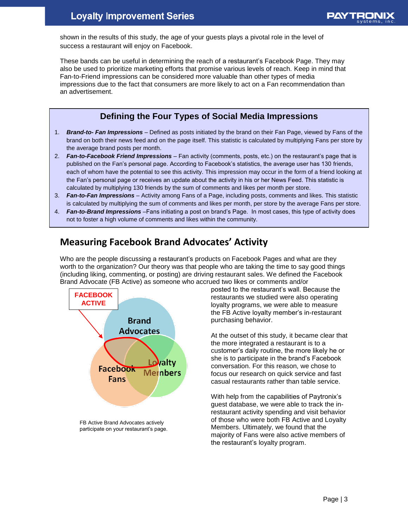shown in the results of this study, the age of your guests plays a pivotal role in the level of success a restaurant will enjoy on Facebook.

These bands can be useful in determining the reach of a restaurant's Facebook Page. They may also be used to prioritize marketing efforts that promise various levels of reach. Keep in mind that Fan-to-Friend impressions can be considered more valuable than other types of media impressions due to the fact that consumers are more likely to act on a Fan recommendation than an advertisement.

#### **Defining the Four Types of Social Media Impressions**

- 1. *Brand-to- Fan Impressions* Defined as posts initiated by the brand on their Fan Page, viewed by Fans of the brand on both their news feed and on the page itself. This statistic is calculated by multiplying Fans per store by the average brand posts per month.
- 2. *Fan-to-Facebook Friend Impressions* Fan activity (comments, posts, etc.) on the restaurant's page that is published on the Fan's personal page. According to Facebook's statistics, the average user has 130 friends, each of whom have the potential to see this activity. This impression may occur in the form of a friend looking at the Fan's personal page or receives an update about the activity in his or her News Feed. This statistic is calculated by multiplying 130 friends by the sum of comments and likes per month per store.
- 3. *Fan-to-Fan Impressions* Activity among Fans of a Page, including posts, comments and likes. This statistic is calculated by multiplying the sum of comments and likes per month, per store by the average Fans per store.
- 4. *Fan-to-Brand Impressions* –Fans initiating a post on brand's Page. In most cases, this type of activity does not to foster a high volume of comments and likes within the community.

### **Measuring Facebook Brand Advocates' Activity**

Who are the people discussing a restaurant's products on Facebook Pages and what are they worth to the organization? Our theory was that people who are taking the time to say good things (including liking, commenting, or posting) are driving restaurant sales. We defined the Facebook Brand Advocate (FB Active) as someone who accrued two likes or comments and/or



FB Active Brand Advocates actively participate on your restaurant's page.

posted to the restaurant's wall. Because the restaurants we studied were also operating loyalty programs, we were able to measure the FB Active loyalty member's in-restaurant purchasing behavior.

At the outset of this study, it became clear that the more integrated a restaurant is to a customer's daily routine, the more likely he or she is to participate in the brand's Facebook conversation. For this reason, we chose to focus our research on quick service and fast casual restaurants rather than table service.

With help from the capabilities of Paytronix's guest database, we were able to track the inrestaurant activity spending and visit behavior of those who were both FB Active and Loyalty Members. Ultimately, we found that the majority of Fans were also active members of the restaurant's loyalty program.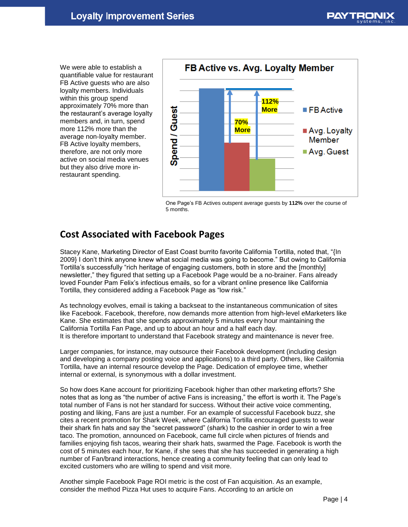We were able to establish a quantifiable value for restaurant FB Active guests who are also loyalty members. Individuals within this group spend approximately 70% more than the restaurant's average loyalty members and, in turn, spend more 112% more than the average non-loyalty member. FB Active loyalty members, therefore, are not only more active on social media venues but they also drive more inrestaurant spending.



One Page's FB Actives outspent average guests by **112%** over the course of 5 months.

#### **Cost Associated with Facebook Pages**

Stacey Kane, Marketing Director of East Coast burrito favorite California Tortilla, noted that, "{In 2009} I don't think anyone knew what social media was going to become." But owing to California Tortilla's successfully "rich heritage of engaging customers, both in store and the [monthly] newsletter," they figured that setting up a Facebook Page would be a no-brainer. Fans already loved Founder Pam Felix's infectious emails, so for a vibrant online presence like California Tortilla, they considered adding a Facebook Page as "low risk."

As technology evolves, email is taking a backseat to the instantaneous communication of sites like Facebook. Facebook, therefore, now demands more attention from high-level eMarketers like Kane. She estimates that she spends approximately 5 minutes every hour maintaining the California Tortilla Fan Page, and up to about an hour and a half each day. It is therefore important to understand that Facebook strategy and maintenance is never free.

Larger companies, for instance, may outsource their Facebook development (including design and developing a company posting voice and applications) to a third party. Others, like California Tortilla, have an internal resource develop the Page. Dedication of employee time, whether internal or external, is synonymous with a dollar investment.

So how does Kane account for prioritizing Facebook higher than other marketing efforts? She notes that as long as "the number of active Fans is increasing," the effort is worth it. The Page's total number of Fans is not her standard for success. Without their active voice commenting, posting and liking, Fans are just a number. For an example of successful Facebook buzz, she cites a recent promotion for Shark Week, where California Tortilla encouraged guests to wear their shark fin hats and say the "secret password" (shark) to the cashier in order to win a free taco. The promotion, announced on Facebook, came full circle when pictures of friends and families enjoying fish tacos, wearing their shark hats, swarmed the Page. Facebook is worth the cost of 5 minutes each hour, for Kane, if she sees that she has succeeded in generating a high number of Fan/brand interactions, hence creating a community feeling that can only lead to excited customers who are willing to spend and visit more.

Another simple Facebook Page ROI metric is the cost of Fan acquisition. As an example, consider the method Pizza Hut uses to acquire Fans. According to an article on